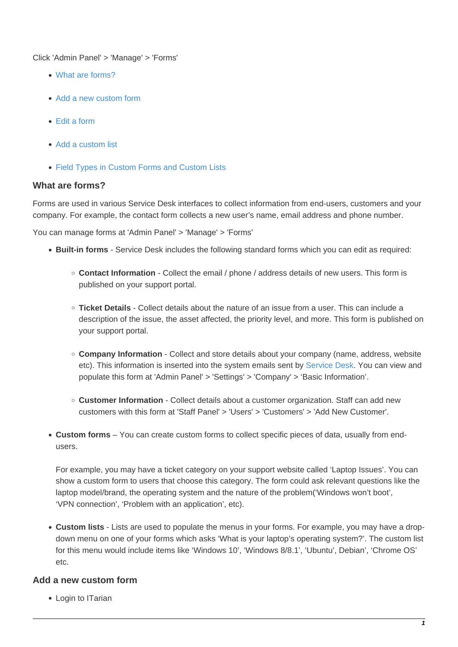Click 'Admin Panel' > 'Manage' > 'Forms'

- [What are forms?](#page-0-0)
- [Add a new custom form](#page-0-1)
- [Edit a form](#page-6-0)
- [Add a custom list](#page-7-0)
- [Field Types in Custom Forms and Custom Lists](#page-19-0)

#### <span id="page-0-0"></span>**What are forms?**

Forms are used in various Service Desk interfaces to collect information from end-users, customers and your company. For example, the contact form collects a new user's name, email address and phone number.

You can manage forms at 'Admin Panel' > 'Manage' > 'Forms'

- **Built-in forms** Service Desk includes the following standard forms which you can edit as required:
	- **Contact Information** Collect the email / phone / address details of new users. This form is published on your support portal.
	- **Ticket Details** Collect details about the nature of an issue from a user. This can include a description of the issue, the asset affected, the priority level, and more. This form is published on your support portal.
	- **Company Information** Collect and store details about your company (name, address, website etc). This information is inserted into the system emails sent by [Service Desk.](https://www.itarian.com/service-desk.php) You can view and populate this form at 'Admin Panel' > 'Settings' > 'Company' > 'Basic Information'.
	- **Customer Information** Collect details about a customer organization. Staff can add new customers with this form at 'Staff Panel' > 'Users' > 'Customers' > 'Add New Customer'.
- **Custom forms** You can create custom forms to collect specific pieces of data, usually from endusers.

For example, you may have a ticket category on your support website called 'Laptop Issues'. You can show a custom form to users that choose this category. The form could ask relevant questions like the laptop model/brand, the operating system and the nature of the problem('Windows won't boot', 'VPN connection', 'Problem with an application', etc).

**Custom lists** - Lists are used to populate the menus in your forms. For example, you may have a dropdown menu on one of your forms which asks 'What is your laptop's operating system?'. The custom list for this menu would include items like 'Windows 10', 'Windows 8/8.1', 'Ubuntu', Debian', 'Chrome OS'  $_{\text{atc}}$ 

# <span id="page-0-1"></span>**Add a new custom form**

Login to ITarian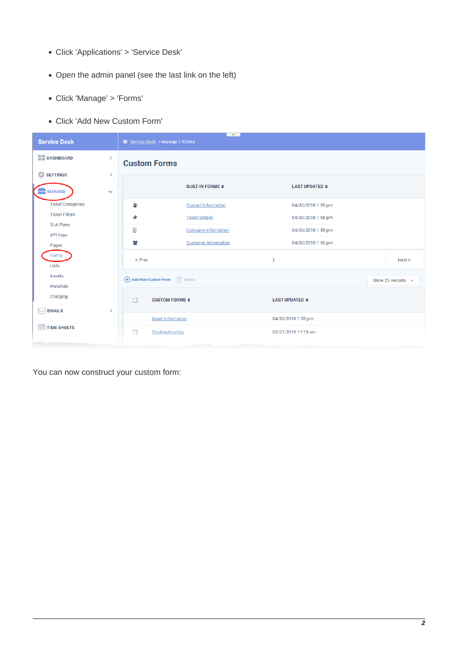- Click 'Applications' > 'Service Desk'
- Open the admin panel (see the last link on the left)
- Click 'Manage' > 'Forms'
- Click 'Add New Custom Form'

| <b>Service Desk</b>                                            | <sup>■</sup> Service Desk > Manage > Forms        | $\checkmark$                                  |                                       |                        |
|----------------------------------------------------------------|---------------------------------------------------|-----------------------------------------------|---------------------------------------|------------------------|
| <b>BE DASHBOARD</b><br>Ŷ.                                      | <b>Custom Forms</b>                               |                                               |                                       |                        |
| <b>C</b> SETTINGS<br>Ÿ.<br><b>MANAGE</b><br>$\checkmark$<br>π. |                                                   | <b>BUILT-IN FORMS <math>\Leftarrow</math></b> | <b>LAST UPDATED <math>\div</math></b> |                        |
| <b>Ticket Categories</b>                                       | $\bullet$                                         | <b>Contact Information</b>                    | 04/30/2018 1:55 pm                    |                        |
| <b>Ticket Filters</b>                                          | Ø                                                 | <b>Ticket Details</b>                         | 04/30/2018 1:55 pm                    |                        |
| <b>SLA Plans</b><br><b>API Keys</b>                            | 圓                                                 | <b>Company Information</b>                    | 04/30/2018 1:55 pm                    |                        |
| Pages                                                          | 咯                                                 | <b>Customer Information</b>                   | 04/30/2018 1:55 pm                    |                        |
| Forms<br>Lists                                                 | « Prev                                            |                                               | 1                                     | Next »                 |
| <b>Assets</b><br><b>Materials</b>                              | $\overline{  }$ Delete<br>(+) Add New Custom Form |                                               |                                       | Show 25 records $\sim$ |
| Charging                                                       | <b>CUSTOM FORMS <math>\div</math></b>             |                                               | <b>LAST UPDATED <math>\div</math></b> |                        |
| <b>EMAILS</b><br>Ÿ.                                            | <b>Asset Information</b>                          |                                               | 04/30/2018 1:55 pm                    |                        |
| <b>THE TIME SHEETS</b>                                         | $\Box$<br>Troubleshooting                         |                                               | 02/21/2019 11:18 am                   |                        |

You can now construct your custom form: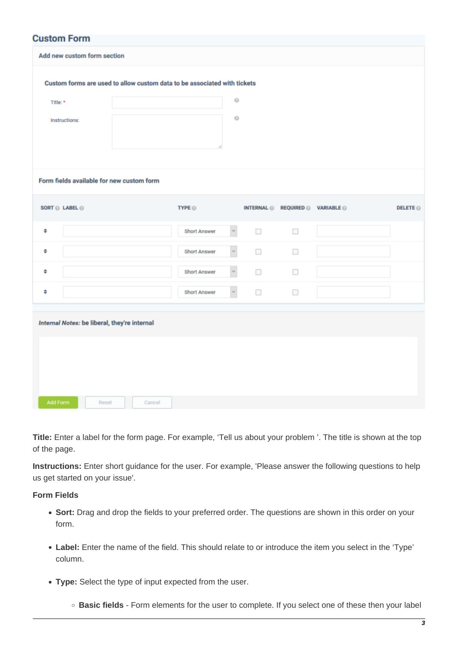|          | <b>Custom Form</b><br>Add new custom form section |        |                                                                          |                       |                          |                                  |               |
|----------|---------------------------------------------------|--------|--------------------------------------------------------------------------|-----------------------|--------------------------|----------------------------------|---------------|
|          |                                                   |        | Custom forms are used to allow custom data to be associated with tickets |                       |                          |                                  |               |
| Title: * |                                                   |        |                                                                          | $\Theta$              |                          |                                  |               |
|          | Instructions:                                     |        |                                                                          | O                     |                          |                                  |               |
|          |                                                   |        |                                                                          |                       |                          |                                  |               |
|          |                                                   |        |                                                                          |                       |                          |                                  |               |
|          | Form fields available for new custom form         |        |                                                                          |                       |                          |                                  |               |
|          |                                                   |        |                                                                          |                       |                          |                                  |               |
|          | SORT @ LABEL @                                    |        | TYPE <sup>O</sup>                                                        |                       |                          | INTERNAL @ REQUIRED @ VARIABLE @ | <b>DELETE</b> |
| ÷        |                                                   |        | <b>Short Answer</b>                                                      | $\check{~}$           | $\overline{\phantom{a}}$ | $\Box$                           |               |
| ٠        |                                                   |        | <b>Short Answer</b>                                                      | $\check{~}$           | $\Box$                   | $\Box$                           |               |
| ٠        |                                                   |        | <b>Short Answer</b>                                                      | $\checkmark$          | $\Box$                   | $\Box$                           |               |
| ٠        |                                                   |        | <b>Short Answer</b>                                                      | $\check{\phantom{a}}$ | $\Box$                   | $\Box$                           |               |
|          |                                                   |        |                                                                          |                       |                          |                                  |               |
|          | Internal Notes: be liberal, they're internal      |        |                                                                          |                       |                          |                                  |               |
|          |                                                   |        |                                                                          |                       |                          |                                  |               |
|          |                                                   |        |                                                                          |                       |                          |                                  |               |
|          |                                                   |        |                                                                          |                       |                          |                                  |               |
| Add Form | Reset                                             | Cancel |                                                                          |                       |                          |                                  |               |

**Title:** Enter a label for the form page. For example, 'Tell us about your problem '. The title is shown at the top of the page.

**Instructions:** Enter short guidance for the user. For example, 'Please answer the following questions to help us get started on your issue'.

**Form Fields**

- **Sort:** Drag and drop the fields to your preferred order. The questions are shown in this order on your form.
- **Label:** Enter the name of the field. This should relate to or introduce the item you select in the 'Type' column.
- **Type:** Select the type of input expected from the user.
	- **Basic fields** Form elements for the user to complete. If you select one of these then your label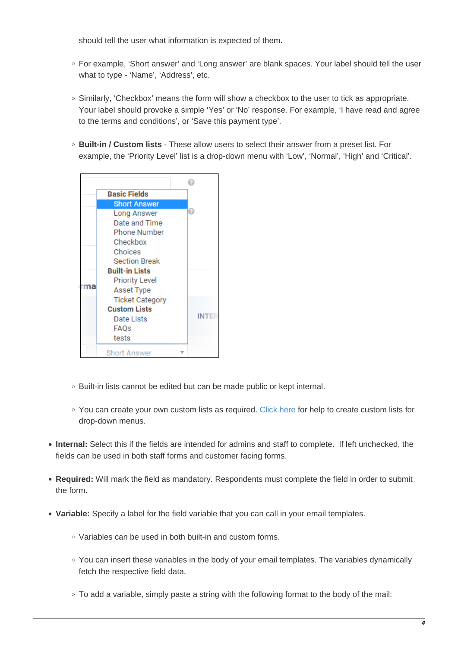should tell the user what information is expected of them.

- For example, 'Short answer' and 'Long answer' are blank spaces. Your label should tell the user what to type - 'Name', 'Address', etc.
- $\circ$  Similarly, 'Checkbox' means the form will show a checkbox to the user to tick as appropriate. Your label should provoke a simple 'Yes' or 'No' response. For example, 'I have read and agree to the terms and conditions', or 'Save this payment type'.
- **Built-in / Custom lists** These allow users to select their answer from a preset list. For example, the 'Priority Level' list is a drop-down menu with 'Low', 'Normal', 'High' and 'Critical'.



- Built-in lists cannot be edited but can be made public or kept internal.
- You can create your own custom lists as required. [Click here](#page-7-0) for help to create custom lists for drop-down menus.
- **Internal:** Select this if the fields are intended for admins and staff to complete. If left unchecked, the fields can be used in both staff forms and customer facing forms.
- **Required:** Will mark the field as mandatory. Respondents must complete the field in order to submit the form.
- <span id="page-3-0"></span>**Variable:** Specify a label for the field variable that you can call in your email templates.
	- Variables can be used in both built-in and custom forms.
	- You can insert these variables in the body of your email templates. The variables dynamically fetch the respective field data.
	- $\circ$  To add a variable, simply paste a string with the following format to the body of the mail: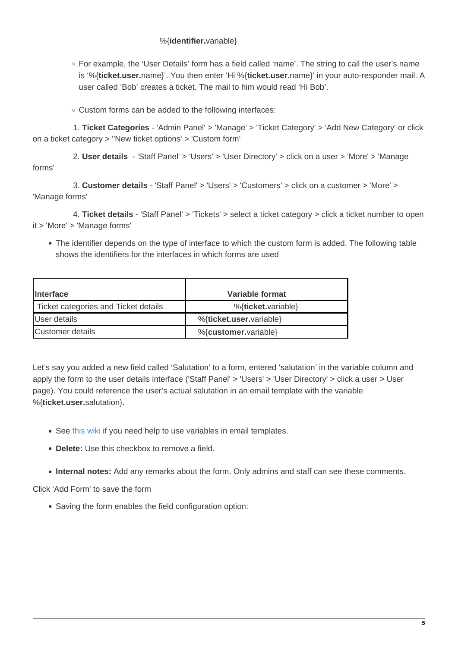# %{**identifier.**variable}

- For example, the 'User Details' form has a field called 'name'. The string to call the user's name is '%{**ticket.user.**name}'. You then enter 'Hi %{**ticket.user.**name}' in your auto-responder mail. A user called 'Bob' creates a ticket. The mail to him would read 'Hi Bob'.
- Custom forms can be added to the following interfaces:

 1. **Ticket Categories** - 'Admin Panel' > 'Manage' > 'Ticket Category' > 'Add New Category' or click on a ticket category > ''New ticket options' > 'Custom form'

 2. **User details** - 'Staff Panel' > 'Users' > 'User Directory' > click on a user > 'More' > 'Manage forms'

 3. **Customer details** - 'Staff Panel' > 'Users' > 'Customers' > click on a customer > 'More' > 'Manage forms'

 4. **Ticket details** - 'Staff Panel' > 'Tickets' > select a ticket category > click a ticket number to open it > 'More' > 'Manage forms'

The identifier depends on the type of interface to which the custom form is added. The following table shows the identifiers for the interfaces in which forms are used

| <i><u><b>Interface</b></u></i>       | Variable format         |
|--------------------------------------|-------------------------|
| Ticket categories and Ticket details | %{ticket.variable}      |
| User details                         | %{ticket.user.variable} |
| Customer details                     | %{customer.variable}    |

Let's say you added a new field called 'Salutation' to a form, entered 'salutation' in the variable column and apply the form to the user details interface ('Staff Panel' > 'Users' > 'User Directory' > click a user > User page). You could reference the user's actual salutation in an email template with the variable %{**ticket.user.**salutation}.

- See [this wiki](https://wiki.itarian.com/frontend/web/topic/how-to-manage-email-templates-and-variables-in-service-desk) if you need help to use variables in email templates.
- **Delete:** Use this checkbox to remove a field.
- **Internal notes:** Add any remarks about the form. Only admins and staff can see these comments.

Click 'Add Form' to save the form

Saving the form enables the field configuration option: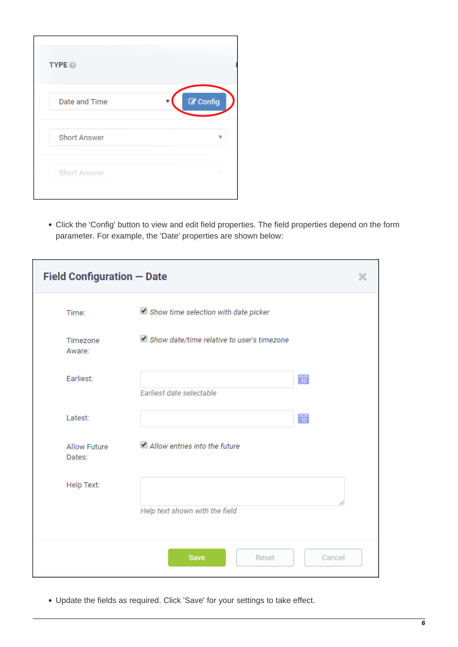| TYPE <sup><sup>®</sup></sup> |                    |
|------------------------------|--------------------|
| Date and Time                | $\mathbb Z$ Config |
| <b>Short Answer</b>          |                    |
| Short Answer                 |                    |

Click the 'Config' button to view and edit field properties. The field properties depend on the form parameter. For example, the 'Date' properties are shown below:

| <b>Field Configuration - Date</b> |                                            |                |  |
|-----------------------------------|--------------------------------------------|----------------|--|
| Time:                             | Show time selection with date picker       |                |  |
| Timezone<br>Aware:                | Show date/time relative to user's timezone |                |  |
| Earliest:                         | Earliest date selectable                   | $\frac{1}{10}$ |  |
| Latest:                           |                                            | $\frac{1}{10}$ |  |
| <b>Allow Future</b><br>Dates:     | Allow entries into the future              |                |  |
| Help Text:                        | Help text shown with the field             |                |  |
|                                   | Save<br>Reset                              | Cancel         |  |

Update the fields as required. Click 'Save' for your settings to take effect.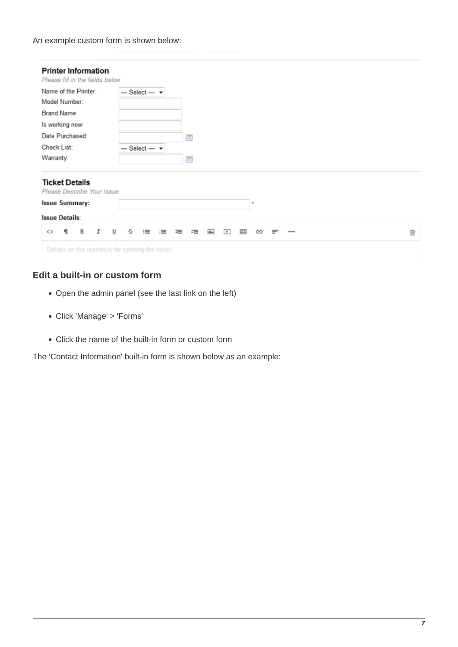An example custom form is shown below:

| <b>Printer Information</b><br>Please fill in the fields below                                         |                                                                          |   |
|-------------------------------------------------------------------------------------------------------|--------------------------------------------------------------------------|---|
| Name of the Printer:                                                                                  | $-$ Select $ \star$                                                      |   |
| Model Number:                                                                                         |                                                                          |   |
| Brand Name:                                                                                           |                                                                          |   |
| Is working now:                                                                                       |                                                                          |   |
| Date Purchased:                                                                                       | 肅                                                                        |   |
| <b>Check List:</b>                                                                                    | $-$ Select $ -$                                                          |   |
| Warranty:                                                                                             | 譚                                                                        |   |
| <b>Ticket Details</b><br>Please Describe Your Issue<br><b>Issue Summary:</b><br><b>Issue Details:</b> |                                                                          |   |
| В<br>I<br>◇<br>П                                                                                      | U<br>s<br>囲<br>≔<br>≔<br>疆<br>$\blacksquare$<br>ඏ<br>岩<br><b>As</b><br>≡ | 尙 |
| Details on the reason(s) for opening the ticket.                                                      |                                                                          |   |

# <span id="page-6-0"></span>**Edit a built-in or custom form**

- Open the admin panel (see the last link on the left)
- Click 'Manage' > 'Forms'
- Click the name of the built-in form or custom form

The 'Contact Information' built-in form is shown below as an example: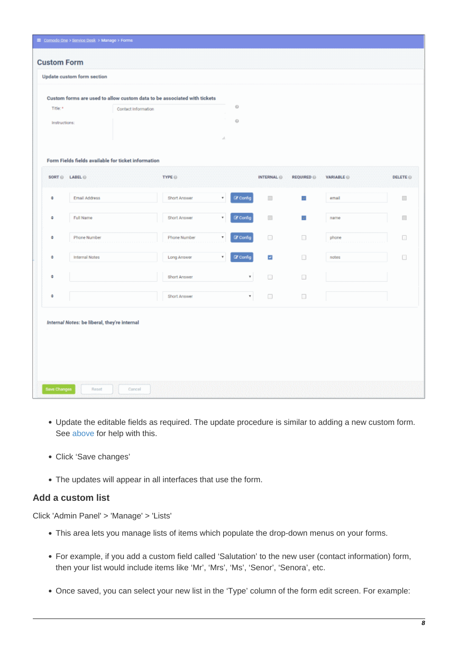| Title: *<br>Instructions: |                                                                       | Custom forms are used to allow custom data to be associated with tickets<br>Contact Information |              | $_{\odot}$<br>$\circ$<br>š. |                                                               |                        |                 |                             |
|---------------------------|-----------------------------------------------------------------------|-------------------------------------------------------------------------------------------------|--------------|-----------------------------|---------------------------------------------------------------|------------------------|-----------------|-----------------------------|
|                           | Form Fields fields available for ticket information<br>SORT @ LABEL @ | TYPE <sup>O</sup>                                                                               |              |                             | INTERNAL @                                                    | <b>REQUIRED</b>        | <b>VARIABLE</b> | <b>DELETE</b> <sup>O</sup>  |
| ÷                         | <b>Email Address</b>                                                  |                                                                                                 | Short Answer | <b>R</b> Config<br>۰        | g)                                                            | $\psi$                 | email           | $\mathcal{E}_{\mathcal{E}}$ |
| ÷                         | Full Name                                                             |                                                                                                 | Short Answer | C Config                    | W.                                                            | $\omega$               | name            | P.                          |
| ٠                         | Phone Number                                                          |                                                                                                 | Phone Number | C Config<br>٠               | $\boxdot$                                                     | $\mathbb{R}^3$         | phone           | $\overline{\mathcal{L}}$    |
| ٠                         | Internal Notes                                                        |                                                                                                 | Long Answer  | <b>Z</b> Config             | $\overline{\mathbf{v}}$                                       | $\widehat{\mathbb{R}}$ | notes           | Œ                           |
| ÷                         |                                                                       |                                                                                                 | Short Answer | ٧                           | $\left[\begin{smallmatrix} 1\\ 1\\ 1\end{smallmatrix}\right]$ | $\epsilon_{\rm c}$     |                 |                             |
| ÷                         |                                                                       |                                                                                                 | Short Answer | $\pmb{\tau}$                | $\overline{\mathbb{S}}$                                       | $\mathbb{R}^3$         |                 |                             |

- Update the editable fields as required. The update procedure is similar to adding a new custom form. See [above](#page--1-0) for help with this.
- Click 'Save changes'
- The updates will appear in all interfaces that use the form.

# <span id="page-7-0"></span>**Add a custom list**

Click 'Admin Panel' > 'Manage' > 'Lists'

- This area lets you manage lists of items which populate the drop-down menus on your forms.
- For example, if you add a custom field called 'Salutation' to the new user (contact information) form, then your list would include items like 'Mr', 'Mrs', 'Ms', 'Senor', 'Senora', etc.
- Once saved, you can select your new list in the 'Type' column of the form edit screen. For example: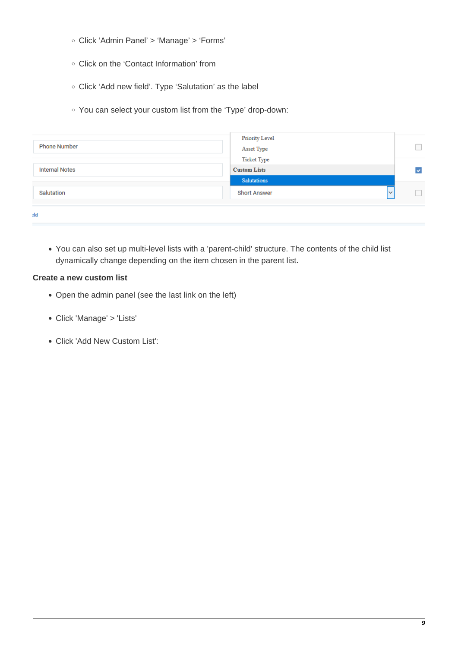- Click 'Admin Panel' > 'Manage' > 'Forms'
- Click on the 'Contact Information' from
- Click 'Add new field'. Type 'Salutation' as the label
- You can select your custom list from the 'Type' drop-down:

| <b>Phone Number</b>   | <b>Priority Level</b><br>Asset Type       |   |
|-----------------------|-------------------------------------------|---|
| <b>Internal Notes</b> | <b>Ticket Type</b><br><b>Custom Lists</b> | v |
|                       | <b>Salutations</b>                        |   |
| Salutation            | <b>Short Answer</b><br>$\checkmark$       |   |
|                       |                                           |   |

You can also set up multi-level lists with a 'parent-child' structure. The contents of the child list dynamically change depending on the item chosen in the parent list.

### **Create a new custom list**

- Open the admin panel (see the last link on the left)
- Click 'Manage' > 'Lists'
- Click 'Add New Custom List':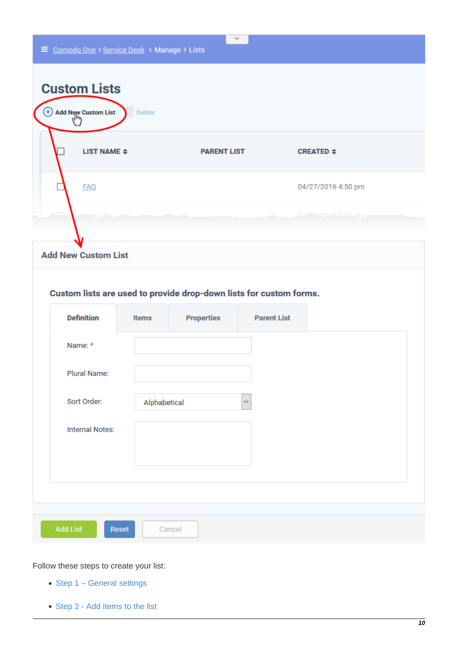

Follow these steps to create your list:

- [Step 1 General settings](#page-10-0)
- [Step 2 Add items to the list](#page-11-0)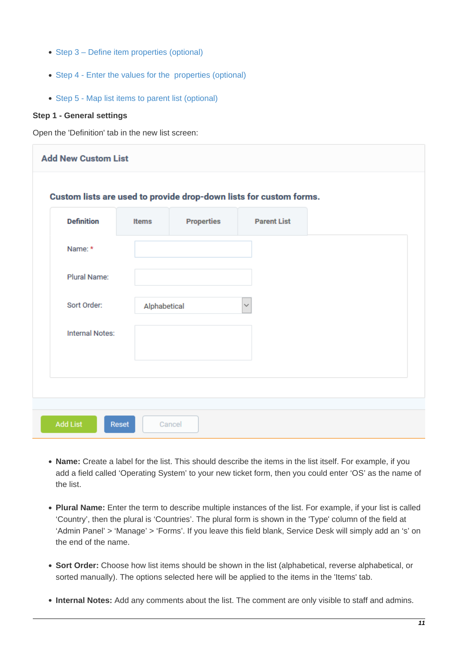- [Step 3 Define item properties \(optional\)](#page-12-0)
- [Step 4 Enter the values for the properties \(optional\)](#page-16-0)
- [Step 5 Map list items to parent list \(optional\)](#page-17-0)

#### <span id="page-10-0"></span>**Step 1 - General settings**

Open the 'Definition' tab in the new list screen:

| <b>Definition</b>      | <b>Items</b> | <b>Properties</b> | <b>Parent List</b> |  |
|------------------------|--------------|-------------------|--------------------|--|
| Name: *                |              |                   |                    |  |
| Plural Name:           |              |                   |                    |  |
| Sort Order:            | Alphabetical |                   | $\checkmark$       |  |
|                        |              |                   |                    |  |
|                        |              |                   |                    |  |
| <b>Internal Notes:</b> |              |                   |                    |  |

- **Name:** Create a label for the list. This should describe the items in the list itself. For example, if you add a field called 'Operating System' to your new ticket form, then you could enter 'OS' as the name of the list.
- **Plural Name:** Enter the term to describe multiple instances of the list. For example, if your list is called 'Country', then the plural is 'Countries'. The plural form is shown in the 'Type' column of the field at 'Admin Panel' > 'Manage' > 'Forms'. If you leave this field blank, Service Desk will simply add an 's' on the end of the name.
- **Sort Order:** Choose how list items should be shown in the list (alphabetical, reverse alphabetical, or sorted manually). The options selected here will be applied to the items in the 'Items' tab.
- **Internal Notes:** Add any comments about the list. The comment are only visible to staff and admins.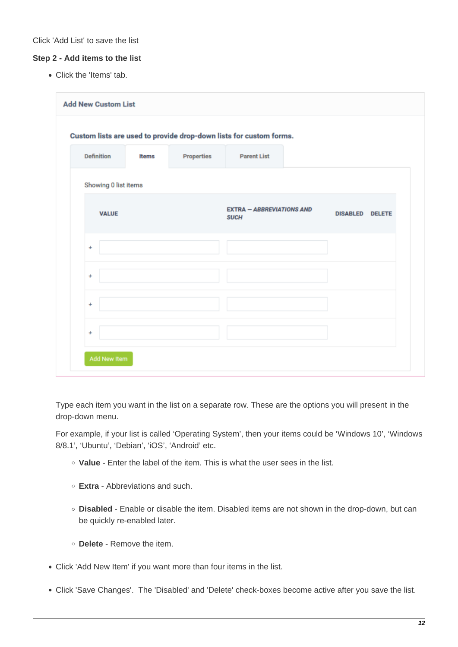#### <span id="page-11-0"></span>**Step 2 - Add items to the list**

Click the 'Items' tab.

| <b>Add New Custom List</b> |              |            |                                                                    |                        |  |
|----------------------------|--------------|------------|--------------------------------------------------------------------|------------------------|--|
|                            |              |            | Custom lists are used to provide drop-down lists for custom forms. |                        |  |
| <b>Definition</b>          | <b>Items</b> | Properties | <b>Parent List</b>                                                 |                        |  |
| Showing 0 list items       |              |            |                                                                    |                        |  |
| <b>VALUE</b>               |              |            | <b>EXTRA - ABBREVIATIONS AND</b><br><b>SUCH</b>                    | <b>DISABLED DELETE</b> |  |
| ÷                          |              |            |                                                                    |                        |  |
| $\ddot{}$                  |              |            |                                                                    |                        |  |
| $\ddot{}$                  |              |            |                                                                    |                        |  |
| $\ddot{}$                  |              |            |                                                                    |                        |  |
| Add New Item               |              |            |                                                                    |                        |  |

Type each item you want in the list on a separate row. These are the options you will present in the drop-down menu.

For example, if your list is called 'Operating System', then your items could be 'Windows 10', 'Windows 8/8.1', 'Ubuntu', 'Debian', 'iOS', 'Android' etc.

- **Value** Enter the label of the item. This is what the user sees in the list.
- **Extra** Abbreviations and such.
- **Disabled** Enable or disable the item. Disabled items are not shown in the drop-down, but can be quickly re-enabled later.
- **Delete** Remove the item.
- Click 'Add New Item' if you want more than four items in the list.
- Click 'Save Changes'. The 'Disabled' and 'Delete' check-boxes become active after you save the list.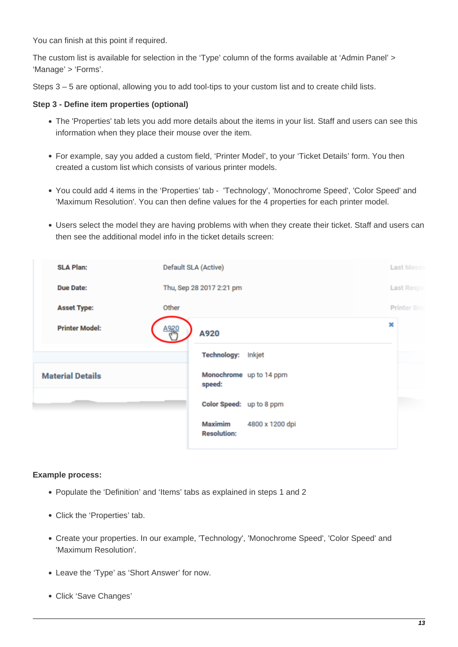You can finish at this point if required.

The custom list is available for selection in the 'Type' column of the forms available at 'Admin Panel' > 'Manage' > 'Forms'.

Steps 3 – 5 are optional, allowing you to add tool-tips to your custom list and to create child lists.

#### <span id="page-12-0"></span>**Step 3 - Define item properties (optional)**

- The 'Properties' tab lets you add more details about the items in your list. Staff and users can see this information when they place their mouse over the item.
- For example, say you added a custom field, 'Printer Model', to your 'Ticket Details' form. You then created a custom list which consists of various printer models.
- You could add 4 items in the 'Properties' tab 'Technology', 'Monochrome Speed', 'Color Speed' and 'Maximum Resolution'. You can then define values for the 4 properties for each printer model.
- Users select the model they are having problems with when they create their ticket. Staff and users can then see the additional model info in the ticket details screen:

| <b>SLA Plan:</b>        | Default SLA (Active)                             | <b>Last Messa</b>   |
|-------------------------|--------------------------------------------------|---------------------|
| <b>Due Date:</b>        | Thu, Sep 28 2017 2:21 pm                         | <b>Last Respo</b>   |
| <b>Asset Type:</b>      | Other                                            | <b>Printer Brad</b> |
| <b>Printer Model:</b>   | A920<br>A920                                     | ×                   |
|                         | <b>Technology:</b><br>Inkjet                     |                     |
| <b>Material Details</b> | Monochrome up to 14 ppm<br>speed:                |                     |
|                         | Color Speed: up to 8 ppm                         |                     |
|                         | Maximim<br>4800 x 1200 dpi<br><b>Resolution:</b> |                     |

#### **Example process:**

- Populate the 'Definition' and 'Items' tabs as explained in steps 1 and 2
- Click the 'Properties' tab.
- Create your properties. In our example, 'Technology', 'Monochrome Speed', 'Color Speed' and 'Maximum Resolution'.
- Leave the 'Type' as 'Short Answer' for now.
- Click 'Save Changes'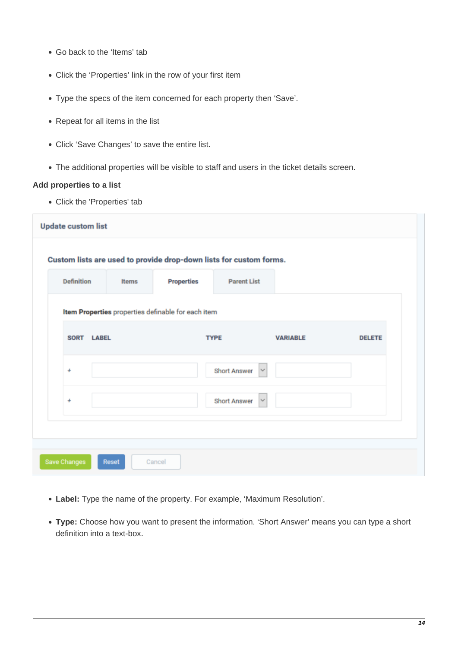- Go back to the 'Items' tab
- Click the 'Properties' link in the row of your first item
- Type the specs of the item concerned for each property then 'Save'.
- Repeat for all items in the list
- Click 'Save Changes' to save the entire list.
- The additional properties will be visible to staff and users in the ticket details screen.

#### **Add properties to a list**

Click the 'Properties' tab

| <b>Definition</b> | <b>Items</b> | <b>Properties</b>                                  | <b>Parent List</b>                  |                 |               |
|-------------------|--------------|----------------------------------------------------|-------------------------------------|-----------------|---------------|
|                   |              | Item Properties properties definable for each item |                                     |                 |               |
| SORT LABEL        |              |                                                    | <b>TYPE</b>                         | <b>VARIABLE</b> | <b>DELETE</b> |
| ÷                 |              |                                                    | <b>Short Answer</b><br>$\checkmark$ |                 |               |
| $\ddot{}$         |              |                                                    | <b>Short Answer</b><br>$\checkmark$ |                 |               |

- **Label:** Type the name of the property. For example, 'Maximum Resolution'.
- **Type:** Choose how you want to present the information. 'Short Answer' means you can type a short definition into a text-box.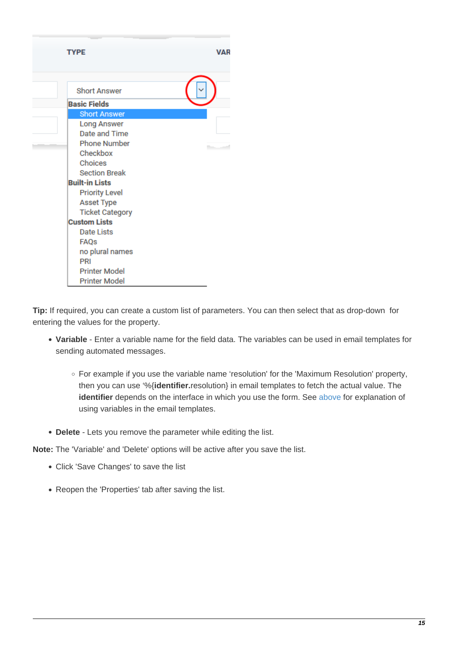| <b>TYPE</b>            | <b>VAR</b> |
|------------------------|------------|
| <b>Short Answer</b>    |            |
| <b>Basic Fields</b>    |            |
| <b>Short Answer</b>    |            |
| <b>Long Answer</b>     |            |
| Date and Time          |            |
| <b>Phone Number</b>    |            |
| Checkbox               |            |
| Choices                |            |
| <b>Section Break</b>   |            |
| <b>Built-in Lists</b>  |            |
| <b>Priority Level</b>  |            |
| <b>Asset Type</b>      |            |
| <b>Ticket Category</b> |            |
| <b>Custom Lists</b>    |            |
| Date Lists             |            |
| <b>FAQs</b>            |            |
| no plural names        |            |
| PRI                    |            |
| <b>Printer Model</b>   |            |
| <b>Printer Model</b>   |            |

**Tip:** If required, you can create a custom list of parameters. You can then select that as drop-down for entering the values for the property.

- **Variable** Enter a variable name for the field data. The variables can be used in email templates for sending automated messages.
	- For example if you use the variable name 'resolution' for the 'Maximum Resolution' property, then you can use '%{**identifier.**resolution} in email templates to fetch the actual value. The **identifier** depends on the interface in which you use the form. See [above](#page-3-0) for explanation of using variables in the email templates.
- **Delete** Lets you remove the parameter while editing the list.

**Note:** The 'Variable' and 'Delete' options will be active after you save the list.

- Click 'Save Changes' to save the list
- Reopen the 'Properties' tab after saving the list.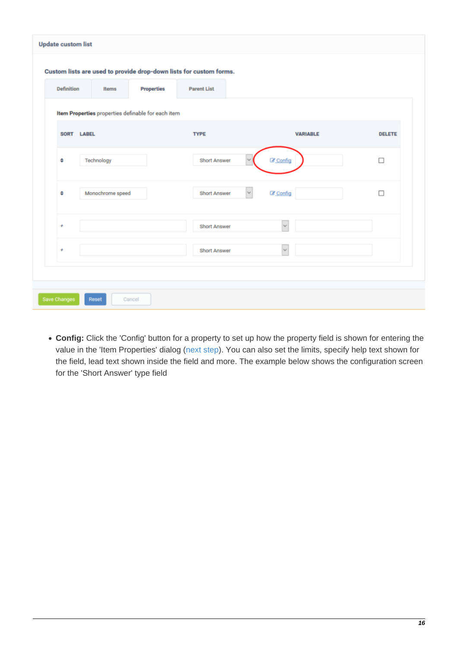| Custom lists are used to provide drop-down lists for custom forms. |                   |                          |                 |               |
|--------------------------------------------------------------------|-------------------|--------------------------|-----------------|---------------|
| <b>Definition</b><br>Items                                         | <b>Properties</b> | <b>Parent List</b>       |                 |               |
| Item Properties properties definable for each item                 |                   |                          |                 |               |
| SORT LABEL                                                         |                   | <b>TYPE</b>              | <b>VARIABLE</b> | <b>DELETE</b> |
| ٠<br>Technology                                                    |                   | <b>Short Answer</b><br>w | C Config        | $\Box$        |
| ÷<br>Monochrome speed                                              |                   | <b>Short Answer</b>      | C Config        | □             |
| $\ddot{}$                                                          |                   | <b>Short Answer</b>      | $\checkmark$    |               |
| $\ddot{}$                                                          |                   | <b>Short Answer</b>      | v               |               |
|                                                                    |                   |                          |                 |               |

**Config:** Click the 'Config' button for a property to set up how the property field is shown for entering the value in the 'Item Properties' dialog ([next step](#page-16-0)). You can also set the limits, specify help text shown for the field, lead text shown inside the field and more. The example below shows the configuration screen for the 'Short Answer' type field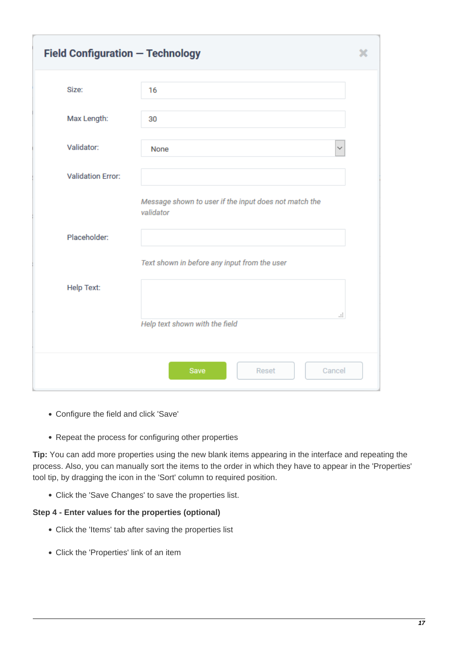| <b>Field Configuration - Technology</b> |                                                                    |  |
|-----------------------------------------|--------------------------------------------------------------------|--|
| Size:                                   | 16                                                                 |  |
| Max Length:                             | 30                                                                 |  |
| Validator:                              | None                                                               |  |
| <b>Validation Error:</b>                |                                                                    |  |
|                                         | Message shown to user if the input does not match the<br>validator |  |
| Placeholder:                            |                                                                    |  |
|                                         | Text shown in before any input from the user                       |  |
| Help Text:                              |                                                                    |  |
|                                         | a.<br>Help text shown with the field                               |  |
|                                         | Cancel<br>Save<br>Reset                                            |  |

- Configure the field and click 'Save'
- Repeat the process for configuring other properties

**Tip:** You can add more properties using the new blank items appearing in the interface and repeating the process. Also, you can manually sort the items to the order in which they have to appear in the 'Properties' tool tip, by dragging the icon in the 'Sort' column to required position.

Click the 'Save Changes' to save the properties list.

#### <span id="page-16-0"></span>**Step 4 - Enter values for the properties (optional)**

- Click the 'Items' tab after saving the properties list
- Click the 'Properties' link of an item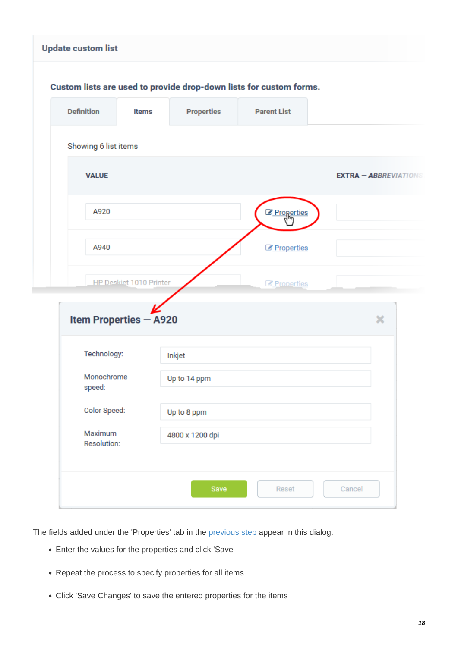|                         | <b>Properties</b><br><b>Items</b> | <b>Parent List</b>         |                              |
|-------------------------|-----------------------------------|----------------------------|------------------------------|
| Showing 6 list items    |                                   |                            |                              |
| <b>VALUE</b>            |                                   |                            | <b>EXTRA - ABBREVIATIONS</b> |
| A920                    |                                   | <b><i>C</i></b> Properties |                              |
| A940                    |                                   | <b><i>C</i></b> Properties |                              |
| HP Deskiet 1010 Printer |                                   | <b>Z</b> Properties        |                              |
|                         |                                   |                            |                              |
|                         |                                   |                            |                              |
| Item Properties - A920  |                                   |                            | ×                            |
| Technology:             | Inkjet                            |                            |                              |
| Monochrome<br>speed:    | Up to 14 ppm                      |                            |                              |
| Color Speed:            | Up to 8 ppm                       |                            |                              |

The fields added under the 'Properties' tab in the [previous step](#page-12-0) appear in this dialog.

- Enter the values for the properties and click 'Save'
- Repeat the process to specify properties for all items
- <span id="page-17-0"></span>Click 'Save Changes' to save the entered properties for the items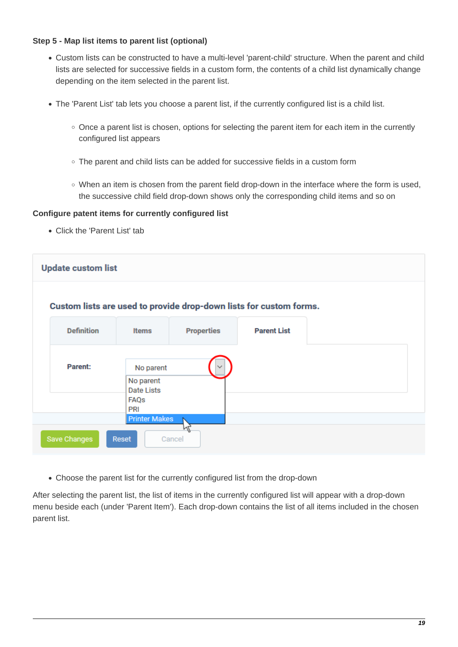# **Step 5 - Map list items to parent list (optional)**

- Custom lists can be constructed to have a multi-level 'parent-child' structure. When the parent and child lists are selected for successive fields in a custom form, the contents of a child list dynamically change depending on the item selected in the parent list.
- The 'Parent List' tab lets you choose a parent list, if the currently configured list is a child list.
	- $\circ$  Once a parent list is chosen, options for selecting the parent item for each item in the currently configured list appears
	- The parent and child lists can be added for successive fields in a custom form
	- $\circ$  When an item is chosen from the parent field drop-down in the interface where the form is used, the successive child field drop-down shows only the corresponding child items and so on

#### **Configure patent items for currently configured list**

Click the 'Parent List' tab



Choose the parent list for the currently configured list from the drop-down

After selecting the parent list, the list of items in the currently configured list will appear with a drop-down menu beside each (under 'Parent Item'). Each drop-down contains the list of all items included in the chosen parent list.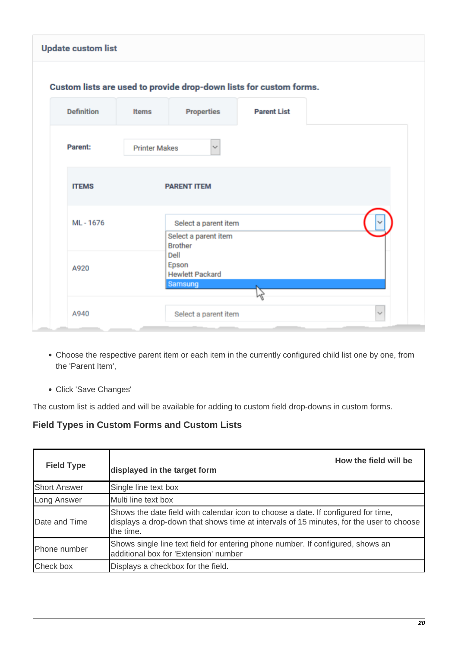| <b>Update custom list</b> |                      |                                                                |                                                                    |
|---------------------------|----------------------|----------------------------------------------------------------|--------------------------------------------------------------------|
|                           |                      |                                                                | Custom lists are used to provide drop-down lists for custom forms. |
| <b>Definition</b>         | <b>Items</b>         | <b>Properties</b>                                              | <b>Parent List</b>                                                 |
| <b>Parent:</b>            | <b>Printer Makes</b> | $\mathcal{L}$                                                  |                                                                    |
| <b>ITEMS</b>              |                      | <b>PARENT ITEM</b>                                             |                                                                    |
| ML-1676                   |                      | Select a parent item<br>Select a parent item<br><b>Brother</b> |                                                                    |
| A920                      |                      | Dell<br>Epson<br><b>Hewlett Packard</b><br>Samsung             |                                                                    |
| A940                      |                      | Select a parent item                                           |                                                                    |

- Choose the respective parent item or each item in the currently configured child list one by one, from the 'Parent Item',
- Click 'Save Changes'

The custom list is added and will be available for adding to custom field drop-downs in custom forms.

# <span id="page-19-0"></span>**Field Types in Custom Forms and Custom Lists**

| <b>Field Type</b>      | How the field will be<br>displayed in the target form                                                                                                                                     |
|------------------------|-------------------------------------------------------------------------------------------------------------------------------------------------------------------------------------------|
| <b>Short Answer</b>    | Single line text box                                                                                                                                                                      |
| Long Answer            | Multi line text box                                                                                                                                                                       |
| <b>I</b> Date and Time | Shows the date field with calendar icon to choose a date. If configured for time,<br>displays a drop-down that shows time at intervals of 15 minutes, for the user to choose<br>the time. |
| Phone number           | Shows single line text field for entering phone number. If configured, shows an<br>additional box for 'Extension' number                                                                  |
| Check box              | Displays a checkbox for the field.                                                                                                                                                        |